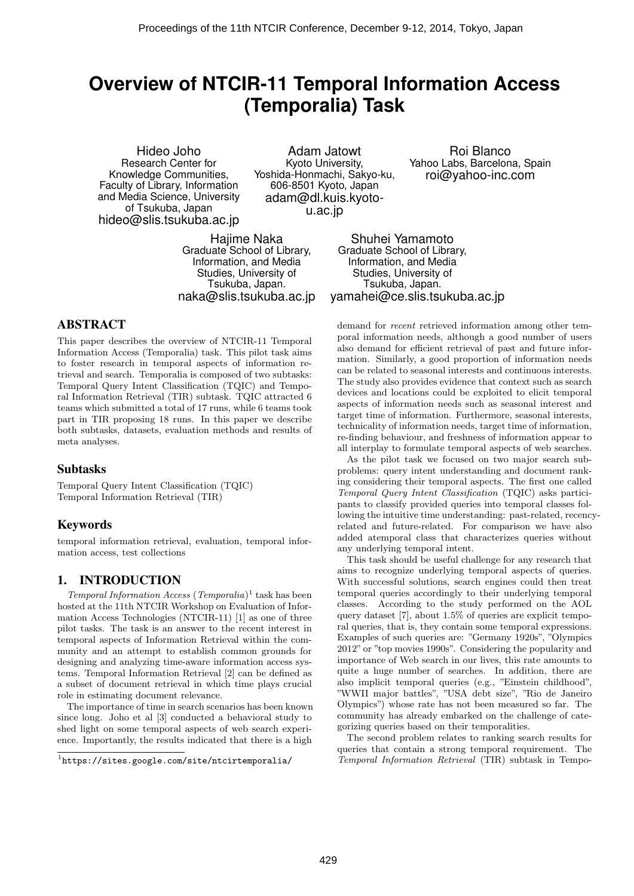# **Overview of NTCIR-11 Temporal Information Access (Temporalia) Task**

Hideo Joho Research Center for Knowledge Communities, Faculty of Library, Information and Media Science, University of Tsukuba, Japan hideo@slis.tsukuba.ac.jp

Adam Jatowt Kyoto University, Yoshida-Honmachi, Sakyo-ku, 606-8501 Kyoto, Japan adam@dl.kuis.kyotou.ac.jp

Roi Blanco Yahoo Labs, Barcelona, Spain roi@yahoo-inc.com

Hajime Naka Graduate School of Library, Information, and Media Studies, University of Tsukuba, Japan. naka@slis.tsukuba.ac.jp

Shuhei Yamamoto Graduate School of Library, Information, and Media Studies, University of Tsukuba, Japan. yamahei@ce.slis.tsukuba.ac.jp

# ABSTRACT

This paper describes the overview of NTCIR-11 Temporal Information Access (Temporalia) task. This pilot task aims to foster research in temporal aspects of information retrieval and search. Temporalia is composed of two subtasks: Temporal Query Intent Classification (TQIC) and Temporal Information Retrieval (TIR) subtask. TQIC attracted 6 teams which submitted a total of 17 runs, while 6 teams took part in TIR proposing 18 runs. In this paper we describe both subtasks, datasets, evaluation methods and results of meta analyses.

## Subtasks

Temporal Query Intent Classification (TQIC) Temporal Information Retrieval (TIR)

## Keywords

temporal information retrieval, evaluation, temporal information access, test collections

## 1. INTRODUCTION

Temporal Information Access (Temporalia) 1 task has been hosted at the 11th NTCIR Workshop on Evaluation of Information Access Technologies (NTCIR-11) [1] as one of three pilot tasks. The task is an answer to the recent interest in temporal aspects of Information Retrieval within the community and an attempt to establish common grounds for designing and analyzing time-aware information access systems. Temporal Information Retrieval [2] can be defined as a subset of document retrieval in which time plays crucial role in estimating document relevance.

The importance of time in search scenarios has been known since long. Joho et al [3] conducted a behavioral study to shed light on some temporal aspects of web search experience. Importantly, the results indicated that there is a high

demand for recent retrieved information among other temporal information needs, although a good number of users also demand for efficient retrieval of past and future information. Similarly, a good proportion of information needs can be related to seasonal interests and continuous interests. The study also provides evidence that context such as search devices and locations could be exploited to elicit temporal aspects of information needs such as seasonal interest and target time of information. Furthermore, seasonal interests, technicality of information needs, target time of information, re-finding behaviour, and freshness of information appear to all interplay to formulate temporal aspects of web searches.

As the pilot task we focused on two major search subproblems: query intent understanding and document ranking considering their temporal aspects. The first one called Temporal Query Intent Classification (TQIC) asks participants to classify provided queries into temporal classes following the intuitive time understanding: past-related, recencyrelated and future-related. For comparison we have also added atemporal class that characterizes queries without any underlying temporal intent.

This task should be useful challenge for any research that aims to recognize underlying temporal aspects of queries. With successful solutions, search engines could then treat temporal queries accordingly to their underlying temporal classes. According to the study performed on the AOL query dataset [7], about 1.5% of queries are explicit temporal queries, that is, they contain some temporal expressions. Examples of such queries are: "Germany 1920s", "Olympics 2012" or "top movies 1990s". Considering the popularity and importance of Web search in our lives, this rate amounts to quite a huge number of searches. In addition, there are also implicit temporal queries (e.g., "Einstein childhood", "WWII major battles", "USA debt size", "Rio de Janeiro Olympics") whose rate has not been measured so far. The community has already embarked on the challenge of categorizing queries based on their temporalities.

The second problem relates to ranking search results for queries that contain a strong temporal requirement. The Temporal Information Retrieval (TIR) subtask in Tempo-

<sup>1</sup> https://sites.google.com/site/ntcirtemporalia/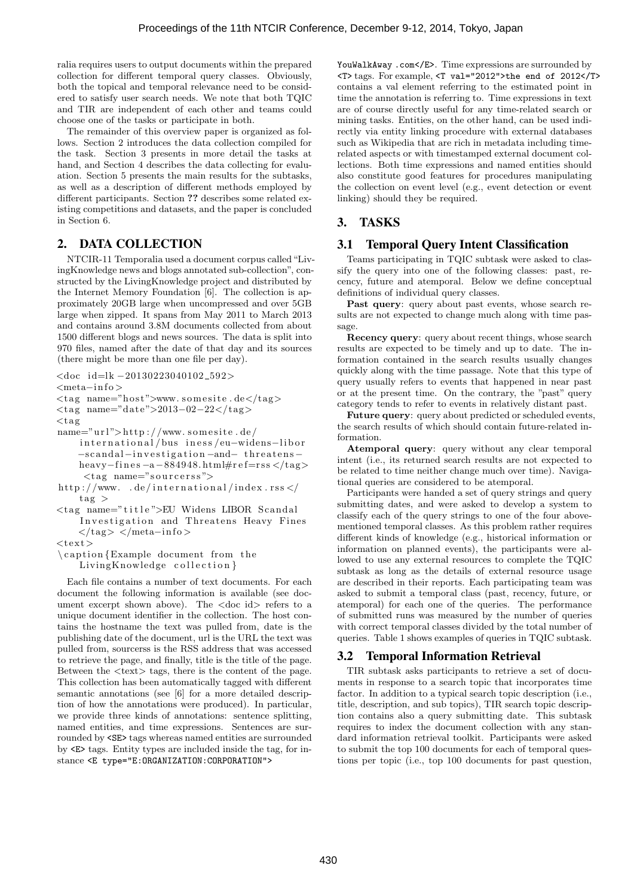ralia requires users to output documents within the prepared collection for different temporal query classes. Obviously, both the topical and temporal relevance need to be considered to satisfy user search needs. We note that both TQIC and TIR are independent of each other and teams could choose one of the tasks or participate in both.

The remainder of this overview paper is organized as follows. Section 2 introduces the data collection compiled for the task. Section 3 presents in more detail the tasks at hand, and Section 4 describes the data collecting for evaluation. Section 5 presents the main results for the subtasks, as well as a description of different methods employed by different participants. Section ?? describes some related existing competitions and datasets, and the paper is concluded in Section 6.

## 2. DATA COLLECTION

NTCIR-11 Temporalia used a document corpus called"LivingKnowledge news and blogs annotated sub-collection", constructed by the LivingKnowledge project and distributed by the Internet Memory Foundation [6]. The collection is approximately 20GB large when uncompressed and over 5GB large when zipped. It spans from May 2011 to March 2013 and contains around 3.8M documents collected from about 1500 different blogs and news sources. The data is split into 970 files, named after the date of that day and its sources (there might be more than one file per day).

<doc i d=lk −20130223040102 592>

<meta−i n f o >

 $\langle \text{tag name="host"\ranglewww.somesite.de}\langle \text{tag}\rangle$ 

 $<$ tag name="date">2013-02-22</tag>

 $<$ tag

- $name="url" > http://www.somesite.de/$ international/bus iness/eu-widens-libor −sc and al−i n v e s t i g a t i o n −and− t h r e a t e n s − heavy−fines -a -884948.html#ref=rss </tag>  $<$ tag name="sourcerss">
- http://www...de/international/index.rss </  $\text{ta}\,\text{g}$  >
- <t a g name="t i t l e ">EU Widens LIBOR Sc and al Investigation and Threatens Heavy Fines  $\langle \rangle$ tag>  $\langle \rangle$ meta-info>

 $<$ text $>$ 

 $\cap$  (caption {Example document from the LivingKnowledge collection }

Each file contains a number of text documents. For each document the following information is available (see document excerpt shown above). The <doc id> refers to a unique document identifier in the collection. The host contains the hostname the text was pulled from, date is the publishing date of the document, url is the URL the text was pulled from, sourcerss is the RSS address that was accessed to retrieve the page, and finally, title is the title of the page. Between the <text> tags, there is the content of the page. This collection has been automatically tagged with different semantic annotations (see [6] for a more detailed description of how the annotations were produced). In particular, we provide three kinds of annotations: sentence splitting, named entities, and time expressions. Sentences are surrounded by <SE> tags whereas named entities are surrounded by <E> tags. Entity types are included inside the tag, for instance <E type="E:ORGANIZATION:CORPORATION">

YouWalkAway .com</E>. Time expressions are surrounded by <T> tags. For example, <T val="2012">the end of 2012</T> contains a val element referring to the estimated point in time the annotation is referring to. Time expressions in text are of course directly useful for any time-related search or mining tasks. Entities, on the other hand, can be used indirectly via entity linking procedure with external databases such as Wikipedia that are rich in metadata including timerelated aspects or with timestamped external document collections. Both time expressions and named entities should also constitute good features for procedures manipulating the collection on event level (e.g., event detection or event linking) should they be required.

# 3. TASKS

#### 3.1 Temporal Query Intent Classification

Teams participating in TQIC subtask were asked to classify the query into one of the following classes: past, recency, future and atemporal. Below we define conceptual definitions of individual query classes.

Past query: query about past events, whose search results are not expected to change much along with time passage.

Recency query: query about recent things, whose search results are expected to be timely and up to date. The information contained in the search results usually changes quickly along with the time passage. Note that this type of query usually refers to events that happened in near past or at the present time. On the contrary, the "past" query category tends to refer to events in relatively distant past.

Future query: query about predicted or scheduled events, the search results of which should contain future-related information.

Atemporal query: query without any clear temporal intent (i.e., its returned search results are not expected to be related to time neither change much over time). Navigational queries are considered to be atemporal.

Participants were handed a set of query strings and query submitting dates, and were asked to develop a system to classify each of the query strings to one of the four abovementioned temporal classes. As this problem rather requires different kinds of knowledge (e.g., historical information or information on planned events), the participants were allowed to use any external resources to complete the TQIC subtask as long as the details of external resource usage are described in their reports. Each participating team was asked to submit a temporal class (past, recency, future, or atemporal) for each one of the queries. The performance of submitted runs was measured by the number of queries with correct temporal classes divided by the total number of queries. Table 1 shows examples of queries in TQIC subtask.

#### 3.2 Temporal Information Retrieval

TIR subtask asks participants to retrieve a set of documents in response to a search topic that incorporates time factor. In addition to a typical search topic description (i.e., title, description, and sub topics), TIR search topic description contains also a query submitting date. This subtask requires to index the document collection with any standard information retrieval toolkit. Participants were asked to submit the top 100 documents for each of temporal questions per topic (i.e., top 100 documents for past question,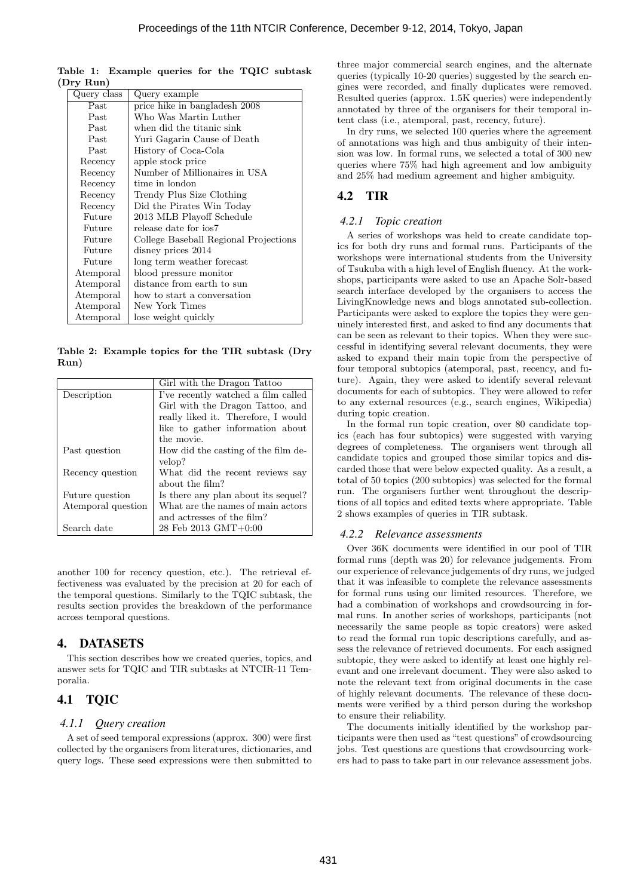| Query class | Query example                         |  |
|-------------|---------------------------------------|--|
| Past        | price hike in bangladesh 2008         |  |
| Past        | Who Was Martin Luther                 |  |
| Past        | when did the titanic sink             |  |
| Past        | Yuri Gagarin Cause of Death           |  |
| Past        | History of Coca-Cola                  |  |
| Recency     | apple stock price                     |  |
| Recency     | Number of Millionaires in USA         |  |
| Recency     | time in london                        |  |
| Recency     | Trendy Plus Size Clothing             |  |
| Recency     | Did the Pirates Win Today             |  |
| Future      | 2013 MLB Playoff Schedule             |  |
| Future      | release date for ios7                 |  |
| Future      | College Baseball Regional Projections |  |
| Future      | disney prices 2014                    |  |
| Future      | long term weather forecast            |  |
| Atemporal   | blood pressure monitor                |  |
| Atemporal   | distance from earth to sun            |  |
| Atemporal   | how to start a conversation           |  |
| Atemporal   | New York Times                        |  |
| Atemporal   | lose weight quickly                   |  |

Table 1: Example queries for the TQIC subtask (Dry Run)

Table 2: Example topics for the TIR subtask (Dry Run)

|                    | Girl with the Dragon Tattoo         |
|--------------------|-------------------------------------|
| Description        | I've recently watched a film called |
|                    | Girl with the Dragon Tattoo, and    |
|                    | really liked it. Therefore, I would |
|                    | like to gather information about    |
|                    | the movie.                          |
| Past question      | How did the casting of the film de- |
|                    | velop?                              |
| Recency question   | What did the recent reviews say     |
|                    | about the film?                     |
| Future question    | Is there any plan about its sequel? |
| Atemporal question | What are the names of main actors   |
|                    | and actresses of the film?          |
| Search date        | 28 Feb 2013 GMT+0:00                |

another 100 for recency question, etc.). The retrieval effectiveness was evaluated by the precision at 20 for each of the temporal questions. Similarly to the TQIC subtask, the results section provides the breakdown of the performance across temporal questions.

#### 4. DATASETS

This section describes how we created queries, topics, and answer sets for TQIC and TIR subtasks at NTCIR-11 Temporalia.

# 4.1 TQIC

#### *4.1.1 Query creation*

A set of seed temporal expressions (approx. 300) were first collected by the organisers from literatures, dictionaries, and query logs. These seed expressions were then submitted to

three major commercial search engines, and the alternate queries (typically 10-20 queries) suggested by the search engines were recorded, and finally duplicates were removed. Resulted queries (approx. 1.5K queries) were independently annotated by three of the organisers for their temporal intent class (i.e., atemporal, past, recency, future).

In dry runs, we selected 100 queries where the agreement of annotations was high and thus ambiguity of their intension was low. In formal runs, we selected a total of 300 new queries where 75% had high agreement and low ambiguity and 25% had medium agreement and higher ambiguity.

# 4.2 TIR

#### *4.2.1 Topic creation*

A series of workshops was held to create candidate topics for both dry runs and formal runs. Participants of the workshops were international students from the University of Tsukuba with a high level of English fluency. At the workshops, participants were asked to use an Apache Solr-based search interface developed by the organisers to access the LivingKnowledge news and blogs annotated sub-collection. Participants were asked to explore the topics they were genuinely interested first, and asked to find any documents that can be seen as relevant to their topics. When they were successful in identifying several relevant documents, they were asked to expand their main topic from the perspective of four temporal subtopics (atemporal, past, recency, and future). Again, they were asked to identify several relevant documents for each of subtopics. They were allowed to refer to any external resources (e.g., search engines, Wikipedia) during topic creation.

In the formal run topic creation, over 80 candidate topics (each has four subtopics) were suggested with varying degrees of completeness. The organisers went through all candidate topics and grouped those similar topics and discarded those that were below expected quality. As a result, a total of 50 topics (200 subtopics) was selected for the formal run. The organisers further went throughout the descriptions of all topics and edited texts where appropriate. Table 2 shows examples of queries in TIR subtask.

#### *4.2.2 Relevance assessments*

Over 36K documents were identified in our pool of TIR formal runs (depth was 20) for relevance judgements. From our experience of relevance judgements of dry runs, we judged that it was infeasible to complete the relevance assessments for formal runs using our limited resources. Therefore, we had a combination of workshops and crowdsourcing in formal runs. In another series of workshops, participants (not necessarily the same people as topic creators) were asked to read the formal run topic descriptions carefully, and assess the relevance of retrieved documents. For each assigned subtopic, they were asked to identify at least one highly relevant and one irrelevant document. They were also asked to note the relevant text from original documents in the case of highly relevant documents. The relevance of these documents were verified by a third person during the workshop to ensure their reliability.

The documents initially identified by the workshop participants were then used as "test questions" of crowdsourcing jobs. Test questions are questions that crowdsourcing workers had to pass to take part in our relevance assessment jobs.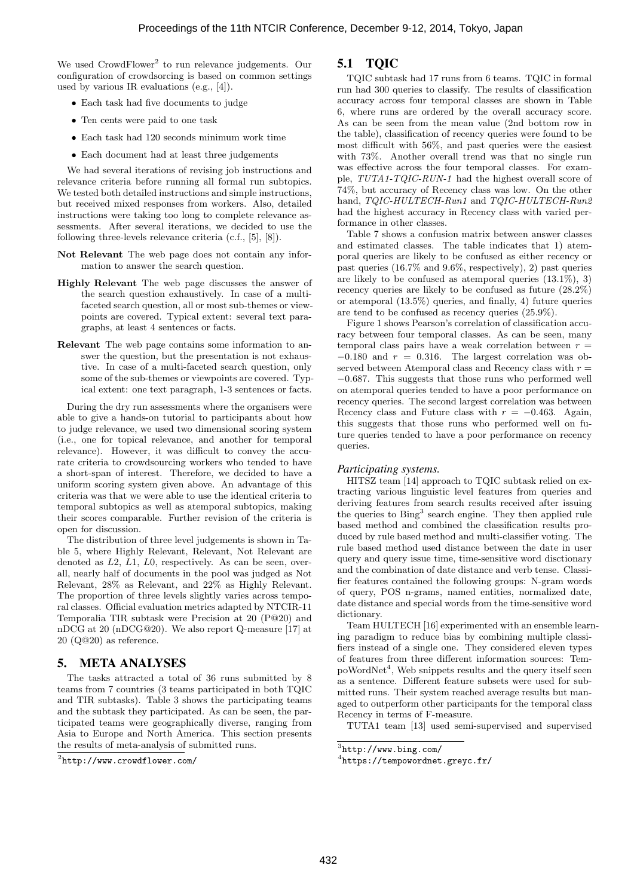We used CrowdFlower<sup>2</sup> to run relevance judgements. Our configuration of crowdsorcing is based on common settings used by various IR evaluations (e.g., [4]).

- Each task had five documents to judge
- Ten cents were paid to one task
- Each task had 120 seconds minimum work time
- Each document had at least three judgements

We had several iterations of revising job instructions and relevance criteria before running all formal run subtopics. We tested both detailed instructions and simple instructions, but received mixed responses from workers. Also, detailed instructions were taking too long to complete relevance assessments. After several iterations, we decided to use the following three-levels relevance criteria (c.f., [5], [8]).

- Not Relevant The web page does not contain any information to answer the search question.
- Highly Relevant The web page discusses the answer of the search question exhaustively. In case of a multifaceted search question, all or most sub-themes or viewpoints are covered. Typical extent: several text paragraphs, at least 4 sentences or facts.
- Relevant The web page contains some information to answer the question, but the presentation is not exhaustive. In case of a multi-faceted search question, only some of the sub-themes or viewpoints are covered. Typical extent: one text paragraph, 1-3 sentences or facts.

During the dry run assessments where the organisers were able to give a hands-on tutorial to participants about how to judge relevance, we used two dimensional scoring system (i.e., one for topical relevance, and another for temporal relevance). However, it was difficult to convey the accurate criteria to crowdsourcing workers who tended to have a short-span of interest. Therefore, we decided to have a uniform scoring system given above. An advantage of this criteria was that we were able to use the identical criteria to temporal subtopics as well as atemporal subtopics, making their scores comparable. Further revision of the criteria is open for discussion.

The distribution of three level judgements is shown in Table 5, where Highly Relevant, Relevant, Not Relevant are denoted as  $L2$ ,  $L1$ ,  $L0$ , respectively. As can be seen, overall, nearly half of documents in the pool was judged as Not Relevant, 28% as Relevant, and 22% as Highly Relevant. The proportion of three levels slightly varies across temporal classes. Official evaluation metrics adapted by NTCIR-11 Temporalia TIR subtask were Precision at 20 (P@20) and nDCG at 20 (nDCG@20). We also report Q-measure [17] at 20 (Q@20) as reference.

## 5. META ANALYSES

The tasks attracted a total of 36 runs submitted by 8 teams from 7 countries (3 teams participated in both TQIC and TIR subtasks). Table 3 shows the participating teams and the subtask they participated. As can be seen, the participated teams were geographically diverse, ranging from Asia to Europe and North America. This section presents the results of meta-analysis of submitted runs.

## 5.1 TQIC

TQIC subtask had 17 runs from 6 teams. TQIC in formal run had 300 queries to classify. The results of classification accuracy across four temporal classes are shown in Table 6, where runs are ordered by the overall accuracy score. As can be seen from the mean value (2nd bottom row in the table), classification of recency queries were found to be most difficult with 56%, and past queries were the easiest with 73%. Another overall trend was that no single run was effective across the four temporal classes. For example, TUTA1-TQIC-RUN-1 had the highest overall score of 74%, but accuracy of Recency class was low. On the other hand, TQIC-HULTECH-Run1 and TQIC-HULTECH-Run2 had the highest accuracy in Recency class with varied performance in other classes.

Table 7 shows a confusion matrix between answer classes and estimated classes. The table indicates that 1) atemporal queries are likely to be confused as either recency or past queries (16.7% and 9.6%, respectively), 2) past queries are likely to be confused as atemporal queries (13.1%), 3) recency queries are likely to be confused as future (28.2%) or atemporal (13.5%) queries, and finally, 4) future queries are tend to be confused as recency queries (25.9%).

Figure 1 shows Pearson's correlation of classification accuracy between four temporal classes. As can be seen, many temporal class pairs have a weak correlation between  $r =$  $-0.180$  and  $r = 0.316$ . The largest correlation was observed between Atemporal class and Recency class with  $r =$ −0.687. This suggests that those runs who performed well on atemporal queries tended to have a poor performance on recency queries. The second largest correlation was between Recency class and Future class with  $r = -0.463$ . Again, this suggests that those runs who performed well on future queries tended to have a poor performance on recency queries.

#### *Participating systems.*

HITSZ team [14] approach to TQIC subtask relied on extracting various linguistic level features from queries and deriving features from search results received after issuing the queries to Bing<sup>3</sup> search engine. They then applied rule based method and combined the classification results produced by rule based method and multi-classifier voting. The rule based method used distance between the date in user query and query issue time, time-sensitive word disctionary and the combination of date distance and verb tense. Classifier features contained the following groups: N-gram words of query, POS n-grams, named entities, normalized date, date distance and special words from the time-sensitive word dictionary.

Team HULTECH [16] experimented with an ensemble learning paradigm to reduce bias by combining multiple classifiers instead of a single one. They considered eleven types of features from three different information sources: TempoWordNet<sup>4</sup>, Web snippets results and the query itself seen as a sentence. Different feature subsets were used for submitted runs. Their system reached average results but managed to outperform other participants for the temporal class Recency in terms of F-measure.

TUTA1 team [13] used semi-supervised and supervised

 $^{2}$ http://www.crowdflower.com/

<sup>3</sup> http://www.bing.com/

<sup>4</sup> https://tempowordnet.greyc.fr/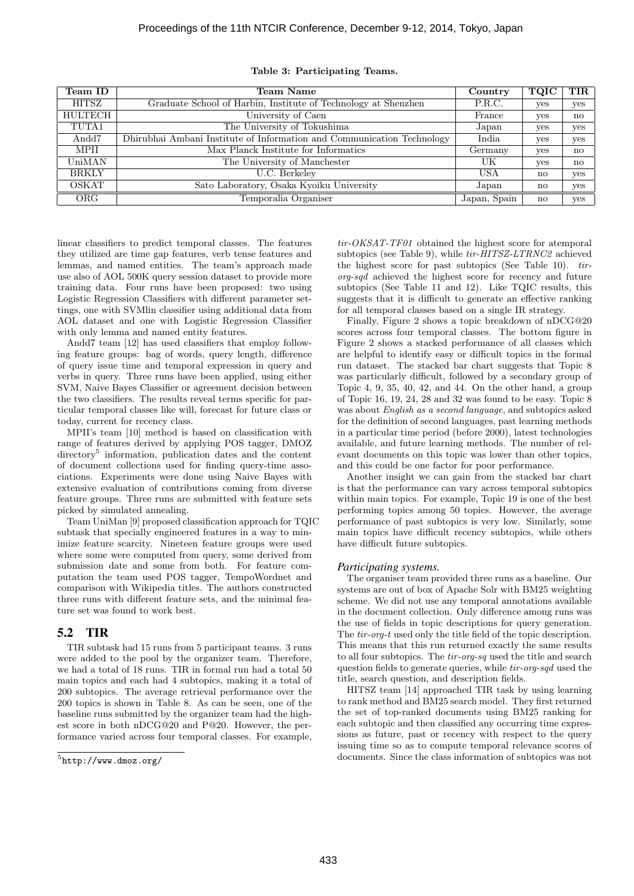| Team ID        | Team Name                                                              | Country      | TQIC         | $_{\rm TIR}$ |
|----------------|------------------------------------------------------------------------|--------------|--------------|--------------|
| HITSZ          | Graduate School of Harbin, Institute of Technology at Shenzhen         | P.R.C.       | yes          | yes          |
| <b>HULTECH</b> | University of Caen                                                     | France       | yes          | $\mathbf{n}$ |
| TUTA1          | The University of Tokushima                                            | Japan        | yes          | yes          |
| Andd7          | Dhirubhai Ambani Institute of Information and Communication Technology | India        | yes          | yes          |
| <b>MPII</b>    | Max Planck Institute for Informatics                                   | Germany      | yes          | $\mathbf{n}$ |
| UniMAN         | The University of Manchester                                           | UK           | yes          | $\mathbf{n}$ |
| <b>BRKLY</b>   | U.C. Berkeley                                                          | USA          | $\mathbf{n}$ | yes          |
| <b>OSKAT</b>   | Sato Laboratory, Osaka Kyoiku University                               | Japan        | $\mathbf{n}$ | yes          |
| ORG.           | Temporalia Organiser                                                   | Japan, Spain | no           | yes          |

#### Table 3: Participating Teams.

linear classifiers to predict temporal classes. The features they utilized are time gap features, verb tense features and lemmas, and named entities. The team's approach made use also of AOL 500K query session dataset to provide more training data. Four runs have been proposed: two using Logistic Regression Classifiers with different parameter settings, one with SVMlin classifier using additional data from AOL dataset and one with Logistic Regression Classifier with only lemma and named entity features.

Andd7 team [12] has used classifiers that employ following feature groups: bag of words, query length, difference of query issue time and temporal expression in query and verbs in query. Three runs have been applied, using either SVM, Naive Bayes Classifier or agreement decision between the two classifiers. The results reveal terms specific for particular temporal classes like will, forecast for future class or today, current for recency class.

MPII's team [10] method is based on classification with range of features derived by applying POS tagger, DMOZ directory<sup>5</sup> information, publication dates and the content of document collections used for finding query-time associations. Experiments were done using Naive Bayes with extensive evaluation of contributions coming from diverse feature groups. Three runs are submitted with feature sets picked by simulated annealing.

Team UniMan [9] proposed classification approach for TQIC subtask that specially engineered features in a way to minimize feature scarcity. Nineteen feature groups were used where some were computed from query, some derived from submission date and some from both. For feature computation the team used POS tagger, TempoWordnet and comparison with Wikipedia titles. The authors constructed three runs with different feature sets, and the minimal feature set was found to work best.

# 5.2 TIR

TIR subtask had 15 runs from 5 participant teams. 3 runs were added to the pool by the organizer team. Therefore, we had a total of 18 runs. TIR in formal run had a total 50 main topics and each had 4 subtopics, making it a total of 200 subtopics. The average retrieval performance over the 200 topics is shown in Table 8. As can be seen, one of the baseline runs submitted by the organizer team had the highest score in both nDCG@20 and P@20. However, the performance varied across four temporal classes. For example,

tir-OKSAT-TF01 obtained the highest score for atemporal subtopics (see Table 9), while  $\text{tr-HITSZ-LTRNC2}$  achieved the highest score for past subtopics (See Table 10). tirorg-sqd achieved the highest score for recency and future subtopics (See Table 11 and 12). Like TQIC results, this suggests that it is difficult to generate an effective ranking for all temporal classes based on a single IR strategy.

Finally, Figure 2 shows a topic breakdown of nDCG@20 scores across four temporal classes. The bottom figure in Figure 2 shows a stacked performance of all classes which are helpful to identify easy or difficult topics in the formal run dataset. The stacked bar chart suggests that Topic 8 was particularly difficult, followed by a secondary group of Topic 4, 9, 35, 40, 42, and 44. On the other hand, a group of Topic 16, 19, 24, 28 and 32 was found to be easy. Topic 8 was about English as a second language, and subtopics asked for the definition of second languages, past learning methods in a particular time period (before 2000), latest technologies available, and future learning methods. The number of relevant documents on this topic was lower than other topics, and this could be one factor for poor performance.

Another insight we can gain from the stacked bar chart is that the performance can vary across temporal subtopics within main topics. For example, Topic 19 is one of the best performing topics among 50 topics. However, the average performance of past subtopics is very low. Similarly, some main topics have difficult recency subtopics, while others have difficult future subtopics.

#### *Participating systems.*

The organiser team provided three runs as a baseline. Our systems are out of box of Apache Solr with BM25 weighting scheme. We did not use any temporal annotations available in the document collection. Only difference among runs was the use of fields in topic descriptions for query generation. The tir-org-t used only the title field of the topic description. This means that this run returned exactly the same results to all four subtopics. The tir-org-sq used the title and search question fields to generate queries, while tir-org-sqd used the title, search question, and description fields.

HITSZ team [14] approached TIR task by using learning to rank method and BM25 search model. They first returned the set of top-ranked documents using BM25 ranking for each subtopic and then classified any occurring time expressions as future, past or recency with respect to the query issuing time so as to compute temporal relevance scores of documents. Since the class information of subtopics was not

 $5$ http://www.dmoz.org/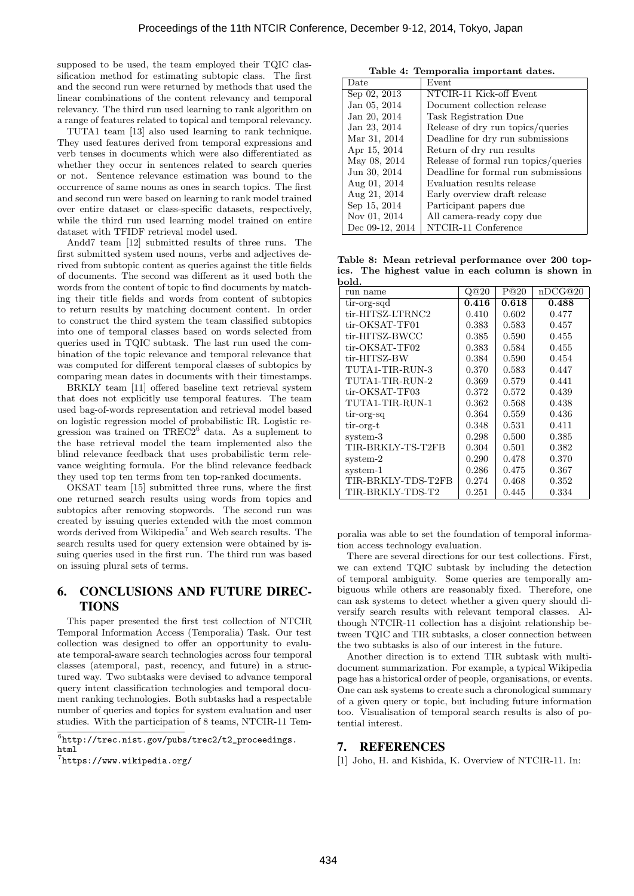supposed to be used, the team employed their TQIC classification method for estimating subtopic class. The first and the second run were returned by methods that used the linear combinations of the content relevancy and temporal relevancy. The third run used learning to rank algorithm on a range of features related to topical and temporal relevancy.

TUTA1 team [13] also used learning to rank technique. They used features derived from temporal expressions and verb tenses in documents which were also differentiated as whether they occur in sentences related to search queries or not. Sentence relevance estimation was bound to the occurrence of same nouns as ones in search topics. The first and second run were based on learning to rank model trained over entire dataset or class-specific datasets, respectively, while the third run used learning model trained on entire dataset with TFIDF retrieval model used.

Andd7 team [12] submitted results of three runs. The first submitted system used nouns, verbs and adjectives derived from subtopic content as queries against the title fields of documents. The second was different as it used both the words from the content of topic to find documents by matching their title fields and words from content of subtopics to return results by matching document content. In order to construct the third system the team classified subtopics into one of temporal classes based on words selected from queries used in TQIC subtask. The last run used the combination of the topic relevance and temporal relevance that was computed for different temporal classes of subtopics by comparing mean dates in documents with their timestamps.

BRKLY team [11] offered baseline text retrieval system that does not explicitly use temporal features. The team used bag-of-words representation and retrieval model based on logistic regression model of probabilistic IR. Logistic regression was trained on  $TREC2^6$  data. As a suplement to the base retrieval model the team implemented also the blind relevance feedback that uses probabilistic term relevance weighting formula. For the blind relevance feedback they used top ten terms from ten top-ranked documents.

OKSAT team [15] submitted three runs, where the first one returned search results using words from topics and subtopics after removing stopwords. The second run was created by issuing queries extended with the most common words derived from Wikipedia<sup>7</sup> and Web search results. The search results used for query extension were obtained by issuing queries used in the first run. The third run was based on issuing plural sets of terms.

# 6. CONCLUSIONS AND FUTURE DIREC-TIONS

This paper presented the first test collection of NTCIR Temporal Information Access (Temporalia) Task. Our test collection was designed to offer an opportunity to evaluate temporal-aware search technologies across four temporal classes (atemporal, past, recency, and future) in a structured way. Two subtasks were devised to advance temporal query intent classification technologies and temporal document ranking technologies. Both subtasks had a respectable number of queries and topics for system evaluation and user studies. With the participation of 8 teams, NTCIR-11 Tem-

Table 4: Temporalia important dates. Date Event Sep 02, 2013 NTCIR-11 Kick-off Event Jan 05, 2014 Document collection release Jan 20, 2014 Task Registration Due Jan 23, 2014 Release of dry run topics/queries Mar 31, 2014 | Deadline for dry run submissions Apr 15, 2014 Return of dry run results May 08, 2014 Release of formal run topics/queries Jun 30, 2014 | Deadline for formal run submissions<br>Aug 01, 2014 | Evaluation results release Aug 01, 2014 Evaluation results release<br>Aug 21, 2014 Early overview draft relea Early overview draft release Sep 15, 2014 Participant papers due Nov 01, 2014 | All camera-ready copy due<br>Dec 09-12, 2014 | NTCIR-11 Conference NTCIR-11 Conference

Table 8: Mean retrieval performance over 200 topics. The highest value in each column is shown in bold.

| DOIU.              |       |       |         |  |  |  |
|--------------------|-------|-------|---------|--|--|--|
| run name           | Q@20  | P@20  | nDCG@20 |  |  |  |
| tir-org-sqd        | 0.416 | 0.618 | 0.488   |  |  |  |
| tir-HITSZ-LTRNC2   | 0.410 | 0.602 | 0.477   |  |  |  |
| tir-OKSAT-TF01     | 0.383 | 0.583 | 0.457   |  |  |  |
| tir-HITSZ-BWCC     | 0.385 | 0.590 | 0.455   |  |  |  |
| tir-OKSAT-TF02     | 0.383 | 0.584 | 0.455   |  |  |  |
| tir-HITSZ-BW       | 0.384 | 0.590 | 0.454   |  |  |  |
| TUTA1-TIR-RUN-3    | 0.370 | 0.583 | 0.447   |  |  |  |
| TUTA1-TIR-RUN-2    | 0.369 | 0.579 | 0.441   |  |  |  |
| tir-OKSAT-TF03     | 0.372 | 0.572 | 0.439   |  |  |  |
| TUTA1-TIR-RUN-1    | 0.362 | 0.568 | 0.438   |  |  |  |
| tir-org-sq         | 0.364 | 0.559 | 0.436   |  |  |  |
| tir-org-t          | 0.348 | 0.531 | 0.411   |  |  |  |
| system-3           | 0.298 | 0.500 | 0.385   |  |  |  |
| TIR-BRKLY-TS-T2FB  | 0.304 | 0.501 | 0.382   |  |  |  |
| system-2           | 0.290 | 0.478 | 0.370   |  |  |  |
| system-1           | 0.286 | 0.475 | 0.367   |  |  |  |
| TIR-BRKLY-TDS-T2FB | 0.274 | 0.468 | 0.352   |  |  |  |
| TIR-BRKLY-TDS-T2   | 0.251 | 0.445 | 0.334   |  |  |  |

poralia was able to set the foundation of temporal information access technology evaluation.

There are several directions for our test collections. First, we can extend TQIC subtask by including the detection of temporal ambiguity. Some queries are temporally ambiguous while others are reasonably fixed. Therefore, one can ask systems to detect whether a given query should diversify search results with relevant temporal classes. Although NTCIR-11 collection has a disjoint relationship between TQIC and TIR subtasks, a closer connection between the two subtasks is also of our interest in the future.

Another direction is to extend TIR subtask with multidocument summarization. For example, a typical Wikipedia page has a historical order of people, organisations, or events. One can ask systems to create such a chronological summary of a given query or topic, but including future information too. Visualisation of temporal search results is also of potential interest.

#### 7. REFERENCES

[1] Joho, H. and Kishida, K. Overview of NTCIR-11. In:

 $<sup>6</sup>$ http://trec.nist.gov/pubs/trec2/t2\_proceedings.</sup> html

 $7$ https://www.wikipedia.org/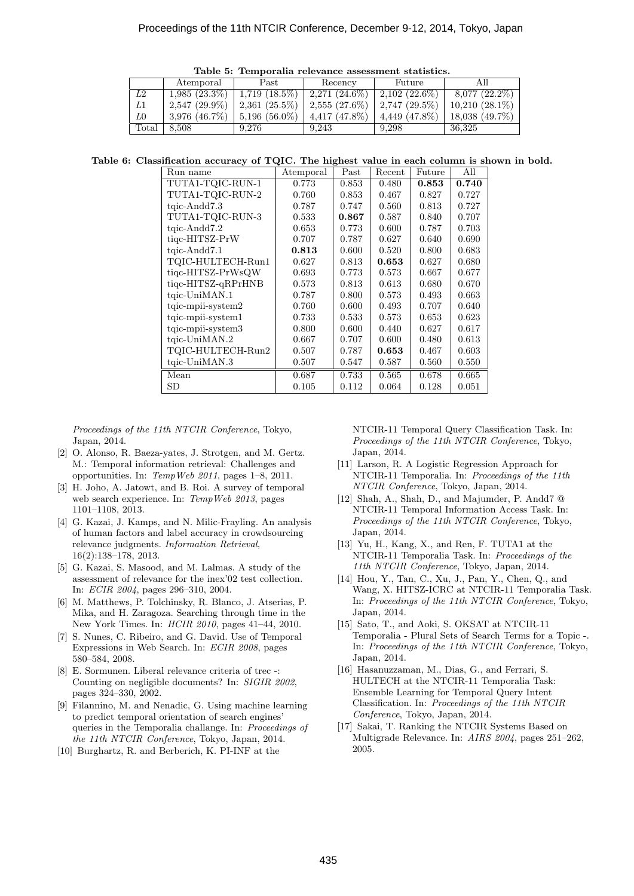Table 5: Temporalia relevance assessment statistics.

|                | Atemporal          | Past                      | Recency            | Future             |                    |  |  |
|----------------|--------------------|---------------------------|--------------------|--------------------|--------------------|--|--|
| L2             | $1,985(23.3\%)$    | $1,719$ $(18.5\%)$        | $2,271(24.6\%)$    | $2,102$ (22.6%)    | $8,077$ $(22.2\%)$ |  |  |
| L1             | $2.547(29.9\%)$    | $2.361(25.5\%)$           | $2,555(27.6\%)$    | $2,747$ (29.5%)    | $10,210(28.1\%)$   |  |  |
| L0             | $3,976$ $(46.7\%)$ | $\frac{1}{5,196}$ (56.0%) | $4,417$ $(47.8\%)$ | $4,449$ $(47.8\%)$ | 18,038 (49.7%)     |  |  |
| $\text{Total}$ | 8.508              | 9.276                     | 9.243              | 9.298              | 36.325             |  |  |

Table 6: Classification accuracy of TQIC. The highest value in each column is shown in bold.

| Run name                | Atemporal | Past  | Recent | Future | All   |
|-------------------------|-----------|-------|--------|--------|-------|
| TUTA1-TQIC-RUN-1        | 0.773     | 0.853 | 0.480  | 0.853  | 0.740 |
| TUTA1-TQIC-RUN-2        | 0.760     | 0.853 | 0.467  | 0.827  | 0.727 |
| $t$ qic-Andd $7.3$      | 0.787     | 0.747 | 0.560  | 0.813  | 0.727 |
| TUTA1-TQIC-RUN-3        | 0.533     | 0.867 | 0.587  | 0.840  | 0.707 |
| $tqic-Andd7.2$          | 0.653     | 0.773 | 0.600  | 0.787  | 0.703 |
| tiqc-HITSZ-PrW          | 0.707     | 0.787 | 0.627  | 0.640  | 0.690 |
| tgic-Andd7.1            | 0.813     | 0.600 | 0.520  | 0.800  | 0.683 |
| TQIC-HULTECH-Run1       | 0.627     | 0.813 | 0.653  | 0.627  | 0.680 |
| tigc-HITSZ-PrWsQW       | 0.693     | 0.773 | 0.573  | 0.667  | 0.677 |
| tigc-HITSZ-gRPrHNB      | 0.573     | 0.813 | 0.613  | 0.680  | 0.670 |
| tgic-UniMAN.1           | 0.787     | 0.800 | 0.573  | 0.493  | 0.663 |
| $tqic$ -mpii-system $2$ | 0.760     | 0.600 | 0.493  | 0.707  | 0.640 |
| $tqic$ -mpii-system $1$ | 0.733     | 0.533 | 0.573  | 0.653  | 0.623 |
| tqic-mpii-system3       | 0.800     | 0.600 | 0.440  | 0.627  | 0.617 |
| tgic-UniMAN.2           | 0.667     | 0.707 | 0.600  | 0.480  | 0.613 |
| TQIC-HULTECH-Run2       | 0.507     | 0.787 | 0.653  | 0.467  | 0.603 |
| tgic-UniMAN.3           | 0.507     | 0.547 | 0.587  | 0.560  | 0.550 |
| Mean                    | 0.687     | 0.733 | 0.565  | 0.678  | 0.665 |
| SD                      | 0.105     | 0.112 | 0.064  | 0.128  | 0.051 |

Proceedings of the 11th NTCIR Conference, Tokyo, Japan, 2014.

- [2] O. Alonso, R. Baeza-yates, J. Strotgen, and M. Gertz. M.: Temporal information retrieval: Challenges and opportunities. In: TempWeb 2011, pages 1–8, 2011.
- [3] H. Joho, A. Jatowt, and B. Roi. A survey of temporal web search experience. In: TempWeb 2013, pages 1101–1108, 2013.
- [4] G. Kazai, J. Kamps, and N. Milic-Frayling. An analysis of human factors and label accuracy in crowdsourcing relevance judgments. Information Retrieval, 16(2):138–178, 2013.
- [5] G. Kazai, S. Masood, and M. Lalmas. A study of the assessment of relevance for the inex'02 test collection. In: ECIR 2004, pages 296–310, 2004.
- [6] M. Matthews, P. Tolchinsky, R. Blanco, J. Atserias, P. Mika, and H. Zaragoza. Searching through time in the New York Times. In: HCIR 2010, pages 41–44, 2010.
- [7] S. Nunes, C. Ribeiro, and G. David. Use of Temporal Expressions in Web Search. In: ECIR 2008, pages 580–584, 2008.
- [8] E. Sormunen. Liberal relevance criteria of trec -: Counting on negligible documents? In: SIGIR 2002, pages 324–330, 2002.
- [9] Filannino, M. and Nenadic, G. Using machine learning to predict temporal orientation of search engines' queries in the Temporalia challange. In: Proceedings of the 11th NTCIR Conference, Tokyo, Japan, 2014.
- [10] Burghartz, R. and Berberich, K. PI-INF at the

NTCIR-11 Temporal Query Classification Task. In: Proceedings of the 11th NTCIR Conference, Tokyo, Japan, 2014.

- [11] Larson, R. A Logistic Regression Approach for NTCIR-11 Temporalia. In: Proceedings of the 11th NTCIR Conference, Tokyo, Japan, 2014.
- [12] Shah, A., Shah, D., and Majumder, P. Andd7 @ NTCIR-11 Temporal Information Access Task. In: Proceedings of the 11th NTCIR Conference, Tokyo, Japan, 2014.
- [13] Yu, H., Kang, X., and Ren, F. TUTA1 at the NTCIR-11 Temporalia Task. In: Proceedings of the 11th NTCIR Conference, Tokyo, Japan, 2014.
- [14] Hou, Y., Tan, C., Xu, J., Pan, Y., Chen, Q., and Wang, X. HITSZ-ICRC at NTCIR-11 Temporalia Task. In: Proceedings of the 11th NTCIR Conference, Tokyo, Japan, 2014.
- [15] Sato, T., and Aoki, S. OKSAT at NTCIR-11 Temporalia - Plural Sets of Search Terms for a Topic -. In: Proceedings of the 11th NTCIR Conference, Tokyo, Japan, 2014.
- [16] Hasanuzzaman, M., Dias, G., and Ferrari, S. HULTECH at the NTCIR-11 Temporalia Task: Ensemble Learning for Temporal Query Intent Classification. In: Proceedings of the 11th NTCIR Conference, Tokyo, Japan, 2014.
- [17] Sakai, T. Ranking the NTCIR Systems Based on Multigrade Relevance. In: AIRS 2004, pages 251–262, 2005.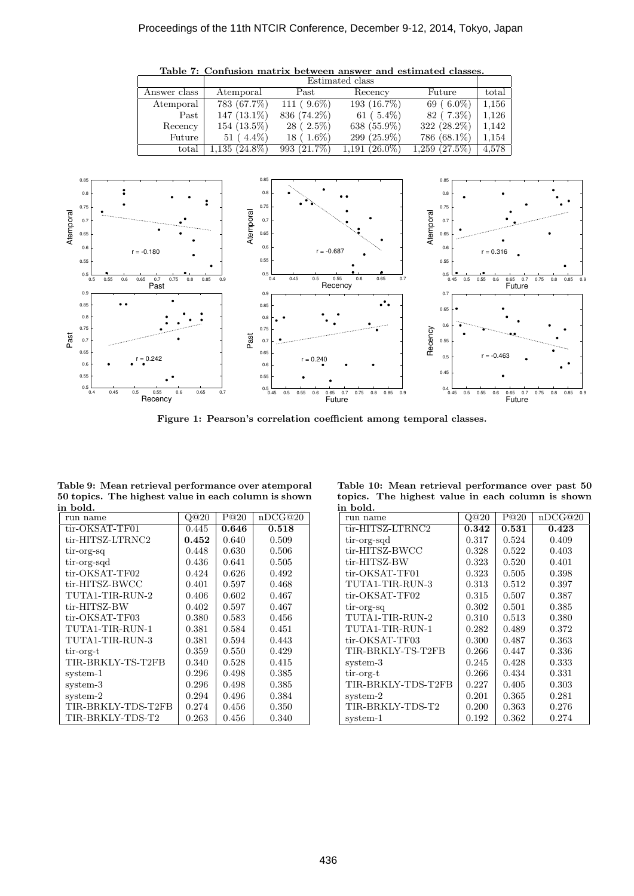

Table 7: Confusion matrix between answer and estimated classes. Estimated class

Figure 1: Pearson's correlation coefficient among temporal classes.

Table 9: Mean retrieval performance over atemporal 50 topics. The highest value in each column is shown in bold.

| run name           | Q@20  | P@20  | nDCG@20 |
|--------------------|-------|-------|---------|
| tir-OKSAT-TF01     | 0.445 | 0.646 | 0.518   |
| tir-HITSZ-LTRNC2   | 0.452 | 0.640 | 0.509   |
| tir-org-sq         | 0.448 | 0.630 | 0.506   |
| tir-org-sqd        | 0.436 | 0.641 | 0.505   |
| tir-OKSAT-TF02     | 0.424 | 0.626 | 0.492   |
| tir-HITSZ-BWCC     | 0.401 | 0.597 | 0.468   |
| TUTA1-TIR-RUN-2    | 0.406 | 0.602 | 0.467   |
| tir-HITSZ-BW       | 0.402 | 0.597 | 0.467   |
| tir-OKSAT-TF03     | 0.380 | 0.583 | 0.456   |
| TUTA1-TIR-RUN-1    | 0.381 | 0.584 | 0.451   |
| TUTA1-TIR-RUN-3    | 0.381 | 0.594 | 0.443   |
| tir-org-t          | 0.359 | 0.550 | 0.429   |
| TIR-BRKLY-TS-T2FB  | 0.340 | 0.528 | 0.415   |
| system-1           | 0.296 | 0.498 | 0.385   |
| system-3           | 0.296 | 0.498 | 0.385   |
| system-2           | 0.294 | 0.496 | 0.384   |
| TIR-BRKLY-TDS-T2FB | 0.274 | 0.456 | 0.350   |
| TIR-BRKLY-TDS-T2   | 0.263 | 0.456 | 0.340   |

Table 10: Mean retrieval performance over past 50 topics. The highest value in each column is shown in bold.

| run name           | Q@20  | P@20  | nDCG@20 |
|--------------------|-------|-------|---------|
| tir-HITSZ-LTRNC2   | 0.342 | 0.531 | 0.423   |
| tir-org-sqd        | 0.317 | 0.524 | 0.409   |
| tir-HITSZ-BWCC     | 0.328 | 0.522 | 0.403   |
| tir-HITSZ-BW       | 0.323 | 0.520 | 0.401   |
| tir-OKSAT-TF01     | 0.323 | 0.505 | 0.398   |
| TUTA1-TIR-RUN-3    | 0.313 | 0.512 | 0.397   |
| tir-OKSAT-TF02     | 0.315 | 0.507 | 0.387   |
| tir-org-sq         | 0.302 | 0.501 | 0.385   |
| TUTA1-TIR-RUN-2    | 0.310 | 0.513 | 0.380   |
| TUTA1-TIR-RUN-1    | 0.282 | 0.489 | 0.372   |
| tir-OKSAT-TF03     | 0.300 | 0.487 | 0.363   |
| TIR-BRKLY-TS-T2FB  | 0.266 | 0.447 | 0.336   |
| system-3           | 0.245 | 0.428 | 0.333   |
| tir-org-t          | 0.266 | 0.434 | 0.331   |
| TIR-BRKLY-TDS-T2FB | 0.227 | 0.405 | 0.303   |
| system-2           | 0.201 | 0.365 | 0.281   |
| TIR-BRKLY-TDS-T2   | 0.200 | 0.363 | 0.276   |
| system-1           | 0.192 | 0.362 | 0.274   |